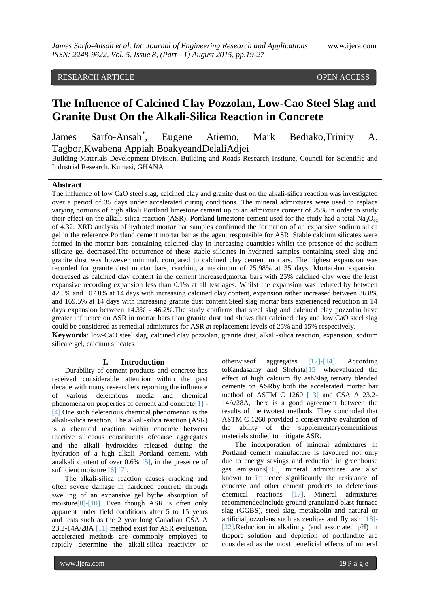# RESEARCH ARTICLE **CONSERVERS** OPEN ACCESS

# **The Influence of Calcined Clay Pozzolan, Low-Cao Steel Slag and Granite Dust On the Alkali-Silica Reaction in Concrete**

James Sarfo-Ansah<sup>\*</sup>. , Eugene Atiemo, Mark Bediako,Trinity A. Tagbor,Kwabena Appiah BoakyeandDelaliAdjei

Building Materials Development Division, Building and Roads Research Institute, Council for Scientific and Industrial Research, Kumasi, GHANA

# **Abstract**

The influence of low CaO steel slag, calcined clay and granite dust on the alkali-silica reaction was investigated over a period of 35 days under accelerated curing conditions. The mineral admixtures were used to replace varying portions of high alkali Portland limestone cement up to an admixture content of 25% in order to study their effect on the alkali-silica reaction (ASR). Portland limestone cement used for the study had a total  $Na_2O_{eq}$ of 4.32. XRD analysis of hydrated mortar bar samples confirmed the formation of an expansive sodium silica gel in the reference Portland cement mortar bar as the agent responsible for ASR. Stable calcium silicates were formed in the mortar bars containing calcined clay in increasing quantities whilst the presence of the sodium silicate gel decreased.The occurrence of these stable silicates in hydrated samples containing steel slag and granite dust was however minimal, compared to calcined clay cement mortars. The highest expansion was recorded for granite dust mortar bars, reaching a maximum of 25.98% at 35 days. Mortar-bar expansion decreased as calcined clay content in the cement increased;mortar bars with 25% calcined clay were the least expansive recording expansion less than 0.1% at all test ages. Whilst the expansion was reduced by between 42.5% and 107.8% at 14 days with increasing calcined clay content, expansion rather increased between 36.8% and 169.5% at 14 days with increasing granite dust content.Steel slag mortar bars experienced reduction in 14 days expansion between 14.3% - 46.2%.The study confirms that steel slag and calcined clay pozzolan have greater influence on ASR in mortar bars than granite dust and shows that calcined clay and low CaO steel slag could be considered as remedial admixtures for ASR at replacement levels of 25% and 15% respectively.

**Keywords**: low-CaO steel slag, calcined clay pozzolan, granite dust, alkali-silica reaction, expansion, sodium silicate gel, calcium silicates

#### **I. Introduction**

Durability of cement products and concrete has received considerable attention within the past decade with many researchers reporting the influence of various deleterious media and chemical phenomena on properties of cement and concrete  $[1]$  -[4].One such deleterious chemical phenomenon is the alkali-silica reaction. The alkali-silica reaction (ASR) is a chemical reaction within concrete between reactive siliceous constituents ofcoarse aggregates and the alkali hydroxides released during the hydration of a high alkali Portland cement, with analkali content of over 0.6% [5], in the presence of sufficient moisture [6] [7].

The alkali-silica reaction causes cracking and often severe damage in hardened concrete through swelling of an expansive gel bythe absorption of moisture[8]-[10]. Even though ASR is often only apparent under field conditions after 5 to 15 years and tests such as the 2 year long Canadian CSA A 23.2-14A/28A [11] method exist for ASR evaluation, accelerated methods are commonly employed to rapidly determine the alkali-silica reactivity or

otherwiseof aggregates [12]-[14]. According toKandasamy and Shehata[15] whoevaluated the effect of high calcium fly ash/slag ternary blended cements on ASRby both the accelerated mortar bar method of ASTM C 1260 [13] and CSA A 23.2- 14A/28A, there is a good agreement between the results of the twotest methods. They concluded that ASTM C 1260 provided a conservative evaluation of the ability of the supplementarycementitious materials studied to mitigate ASR.

The incorporation of mineral admixtures in Portland cement manufacture is favoured not only due to energy savings and reduction in greenhouse gas emissions[16], mineral admixtures are also known to influence significantly the resistance of concrete and other cement products to deleterious chemical reactions [17]. Mineral admixtures recommendedinclude ground granulated blast furnace slag (GGBS), steel slag, metakaolin and natural or artificialpozzolans such as zeolites and fly ash [18]- [22].Reduction in alkalinity (and associated pH) in thepore solution and depletion of portlandite are considered as the most beneficial effects of mineral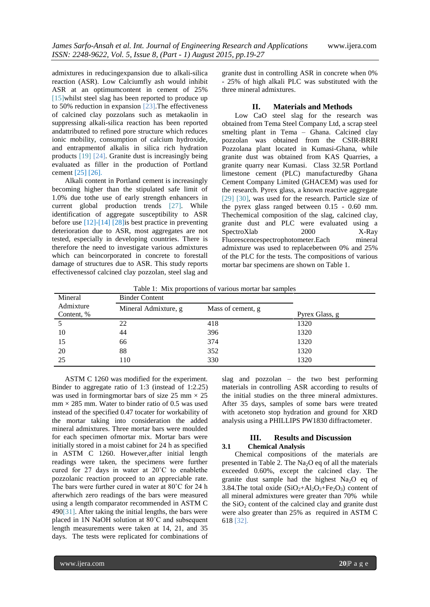admixtures in reducingexpansion due to alkali-silica reaction (ASR). Low Calciumfly ash would inhibit ASR at an optimumcontent in cement of 25% [15]whilst steel slag has been reported to produce up to 50% reduction in expansion [23].The effectiveness of calcined clay pozzolans such as metakaolin in suppressing alkali-silica reaction has been reported andattributed to refined pore structure which reduces ionic mobility, consumption of calcium hydroxide, and entrapmentof alkalis in silica rich hydration products [19] [24]. Granite dust is increasingly being evaluated as filler in the production of Portland cement [25] [26].

Alkali content in Portland cement is increasingly becoming higher than the stipulated safe limit of 1.0% due tothe use of early strength enhancers in current global production trends [27]. While identification of aggregate susceptibility to ASR before use [12]-[14] [28]is best practice in preventing deterioration due to ASR, most aggregates are not tested, especially in developing countries. There is therefore the need to investigate various admixtures which can beincorporated in concrete to forestall damage of structures due to ASR. This study reports effectivenessof calcined clay pozzolan, steel slag and

granite dust in controlling ASR in concrete when 0% - 25% of high alkali PLC was substituted with the three mineral admixtures.

#### **II. Materials and Methods**

Low CaO steel slag for the research was obtained from Tema Steel Company Ltd, a scrap steel smelting plant in Tema – Ghana. Calcined clay pozzolan was obtained from the CSIR-BRRI Pozzolana plant located in Kumasi-Ghana, while granite dust was obtained from KAS Quarries, a granite quarry near Kumasi. Class 32.5R Portland limestone cement (PLC) manufacturedby Ghana Cement Company Limited (GHACEM) was used for the research. Pyrex glass, a known reactive aggregate [29] [30], was used for the research. Particle size of the pyrex glass ranged between 0.15 - 0.60 mm. Thechemical composition of the slag, calcined clay, granite dust and PLC were evaluated using a SpectroXlab 2000 X-Ray Fluorescencespectrophotometer.Each mineral admixture was used to replacebetween 0% and 25% of the PLC for the tests. The compositions of various mortar bar specimens are shown on Table 1.

| Mineral<br>Admixture<br>Content, % | <b>Binder Content</b>                     |     |                |
|------------------------------------|-------------------------------------------|-----|----------------|
|                                    | Mineral Admixture, g<br>Mass of cement, g |     | Pyrex Glass, g |
|                                    | 22                                        | 418 | 1320           |
| 10                                 | 44                                        | 396 | 1320           |
| 15                                 | 66                                        | 374 | 1320           |
| 20                                 | 88                                        | 352 | 1320           |
| 25                                 | 110                                       | 330 | 1320           |

 $Table 1: Mix, generation of various motion has a$ 

ASTM C 1260 was modified for the experiment. Binder to aggregate ratio of 1:3 (instead of 1:2.25) was used in forming mortar bars of size 25 mm  $\times$  25  $mm \times 285$  mm. Water to binder ratio of 0.5 was used instead of the specified 0.47 tocater for workability of the mortar taking into consideration the added mineral admixtures. Three mortar bars were moulded for each specimen ofmortar mix. Mortar bars were initially stored in a moist cabinet for 24 h as specified in ASTM C 1260. However,after initial length readings were taken, the specimens were further cured for 27 days in water at 20˚C to enablethe pozzolanic reaction proceed to an appreciable rate. The bars were further cured in water at 80˚C for 24 h afterwhich zero readings of the bars were measured using a length comparator recommended in ASTM C 490[31]. After taking the initial lengths, the bars were placed in 1N NaOH solution at 80˚C and subsequent length measurements were taken at 14, 21, and 35 days. The tests were replicated for combinations of slag and pozzolan – the two best performing materials in controlling ASR according to results of the initial studies on the three mineral admixtures. After 35 days, samples of some bars were treated with acetoneto stop hydration and ground for XRD analysis using a PHILLIPS PW1830 diffractometer.

### **III. Results and Discussion 3.1 Chemical Analysis**

Chemical compositions of the materials are presented in Table 2. The  $Na<sub>2</sub>O$  eq of all the materials exceeded 0.60%, except the calcined clay. The granite dust sample had the highest  $Na<sub>2</sub>O$  eq of 3.84.The total oxide  $(SiO<sub>2</sub>+Al<sub>2</sub>O<sub>3</sub>+Fe<sub>2</sub>O<sub>3</sub>)$  content of all mineral admixtures were greater than 70% while the  $SiO<sub>2</sub>$  content of the calcined clay and granite dust were also greater than 25% as required in ASTM C 618 [32].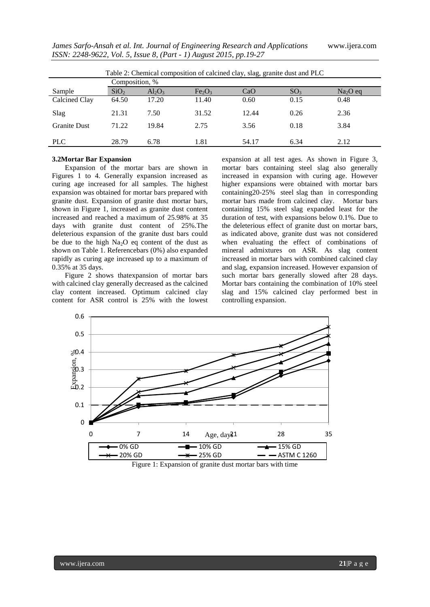| Table 2: Chemical composition of calcined clay, slag, granite dust and PLC |                  |           |                                |       |                 |           |  |  |  |
|----------------------------------------------------------------------------|------------------|-----------|--------------------------------|-------|-----------------|-----------|--|--|--|
|                                                                            | Composition, %   |           |                                |       |                 |           |  |  |  |
| Sample                                                                     | SiO <sub>2</sub> | $Al_2O_3$ | Fe <sub>2</sub> O <sub>3</sub> | CaO   | SO <sub>3</sub> | $Na2O$ eq |  |  |  |
| Calcined Clay                                                              | 64.50            | 17.20     | 11.40                          | 0.60  | 0.15            | 0.48      |  |  |  |
| Slag                                                                       | 21.31            | 7.50      | 31.52                          | 12.44 | 0.26            | 2.36      |  |  |  |
| <b>Granite Dust</b>                                                        | 71.22            | 19.84     | 2.75                           | 3.56  | 0.18            | 3.84      |  |  |  |
| <b>PLC</b>                                                                 | 28.79            | 6.78      | 1.81                           | 54.17 | 6.34            | 2.12      |  |  |  |

Table 2: Chemical composition of calcined clay, slag, granite dust and PLC

#### **3.2Mortar Bar Expansion**

Expansion of the mortar bars are shown in Figures 1 to 4. Generally expansion increased as curing age increased for all samples. The highest expansion was obtained for mortar bars prepared with granite dust. Expansion of granite dust mortar bars, shown in Figure 1, increased as granite dust content increased and reached a maximum of 25.98% at 35 days with granite dust content of 25%.The deleterious expansion of the granite dust bars could be due to the high  $Na<sub>2</sub>O$  eq content of the dust as shown on Table 1. Referencebars (0%) also expanded rapidly as curing age increased up to a maximum of 0.35% at 35 days.

Figure 2 shows thatexpansion of mortar bars with calcined clay generally decreased as the calcined clay content increased. Optimum calcined clay content for ASR control is 25% with the lowest

expansion at all test ages. As shown in Figure 3, mortar bars containing steel slag also generally increased in expansion with curing age. However higher expansions were obtained with mortar bars containing20-25% steel slag than in corresponding mortar bars made from calcined clay. Mortar bars containing 15% steel slag expanded least for the duration of test, with expansions below 0.1%. Due to the deleterious effect of granite dust on mortar bars, as indicated above, granite dust was not considered when evaluating the effect of combinations of mineral admixtures on ASR. As slag content increased in mortar bars with combined calcined clay and slag, expansion increased. However expansion of such mortar bars generally slowed after 28 days. Mortar bars containing the combination of 10% steel slag and 15% calcined clay performed best in controlling expansion.



Figure 1: Expansion of granite dust mortar bars with time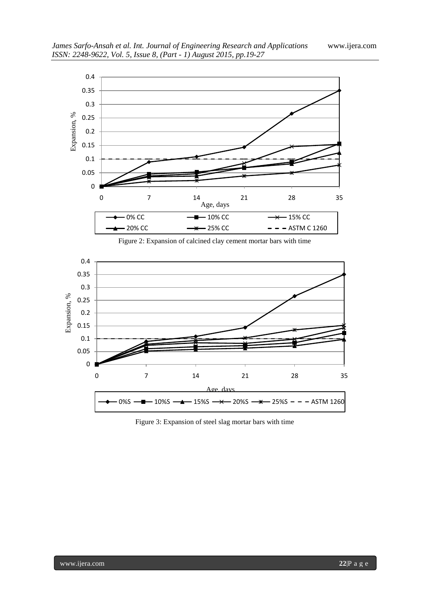

Figure 2: Expansion of calcined clay cement mortar bars with time



Figure 3: Expansion of steel slag mortar bars with time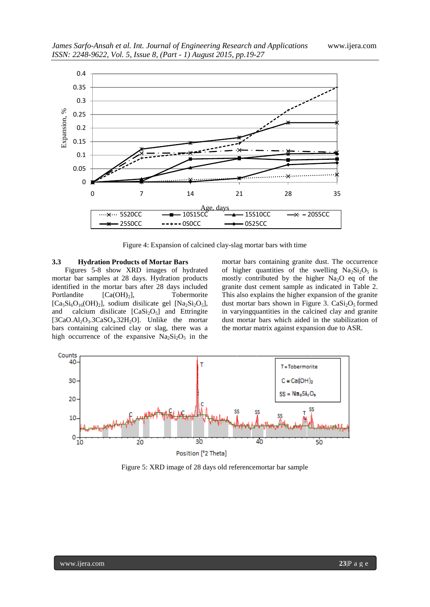

Figure 4: Expansion of calcined clay-slag mortar bars with time

#### **3.3 Hydration Products of Mortar Bars**

Figures 5-8 show XRD images of hydrated mortar bar samples at 28 days. Hydration products identified in the mortar bars after 28 days included Portlandite [Ca(OH)<sub>2</sub>], Tobermorite  $[Ca_5Si_6O_{16}(OH)_2]$ , sodium disilicate gel  $[Na_2Si_2O_5]$ , and calcium disilicate  $[CaSi<sub>2</sub>O<sub>5</sub>]$  and Ettringite [ $3CaO.AI<sub>2</sub>O<sub>3</sub>.3CaSO<sub>4</sub>.32H<sub>2</sub>O$ ]. Unlike the mortar bars containing calcined clay or slag, there was a high occurrence of the expansive  $Na<sub>2</sub>Si<sub>2</sub>O<sub>5</sub>$  in the

mortar bars containing granite dust. The occurrence of higher quantities of the swelling  $Na<sub>2</sub>Si<sub>2</sub>O<sub>5</sub>$  is mostly contributed by the higher  $Na<sub>2</sub>O$  eq of the granite dust cement sample as indicated in Table 2. This also explains the higher expansion of the granite dust mortar bars shown in Figure 3.  $CaSi<sub>2</sub>O<sub>5</sub>$  formed in varyingquantities in the calcined clay and granite dust mortar bars which aided in the stabilization of the mortar matrix against expansion due to ASR.



Figure 5: XRD image of 28 days old referencemortar bar sample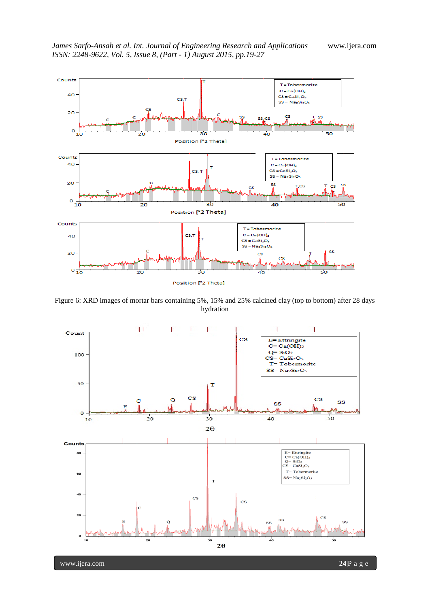

Figure 6: XRD images of mortar bars containing 5%, 15% and 25% calcined clay (top to bottom) after 28 days hydration

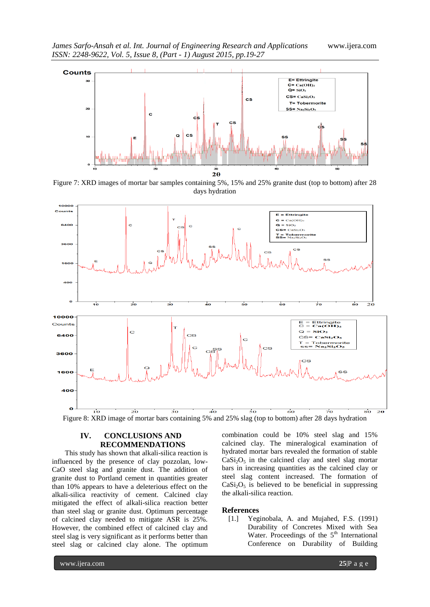

Figure 7: XRD images of mortar bar samples containing 5%, 15% and 25% granite dust (top to bottom) after 28 days hydration



Figure 8: XRD image of mortar bars containing 5% and 25% slag (top to bottom) after 28 days hydration

# **IV. CONCLUSIONS AND RECOMMENDATIONS**

This study has shown that alkali-silica reaction is influenced by the presence of clay pozzolan, low-CaO steel slag and granite dust. The addition of granite dust to Portland cement in quantities greater than 10% appears to have a deleterious effect on the alkali-silica reactivity of cement. Calcined clay mitigated the effect of alkali-silica reaction better than steel slag or granite dust. Optimum percentage of calcined clay needed to mitigate ASR is 25%. However, the combined effect of calcined clay and steel slag is very significant as it performs better than steel slag or calcined clay alone. The optimum

combination could be 10% steel slag and 15% calcined clay. The mineralogical examination of hydrated mortar bars revealed the formation of stable  $CaSi<sub>2</sub>O<sub>5</sub>$  in the calcined clay and steel slag mortar bars in increasing quantities as the calcined clay or steel slag content increased. The formation of  $CaSi<sub>2</sub>O<sub>5</sub>$  is believed to be beneficial in suppressing the alkali-silica reaction.

#### **References**

[1.] Yeginobala, A. and Mujahed, F.S. (1991) Durability of Concretes Mixed with Sea Water. Proceedings of the 5<sup>th</sup> International Conference on Durability of Building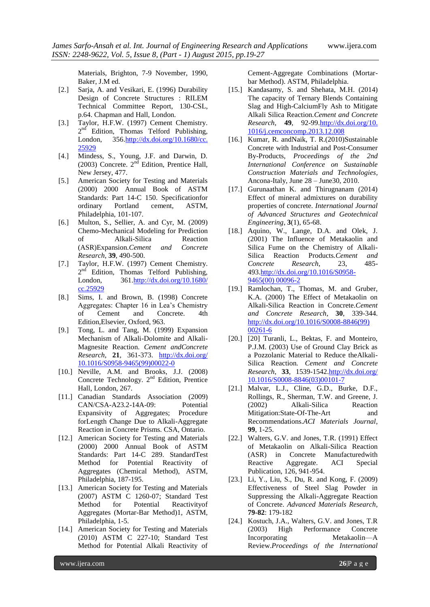Materials, Brighton, 7-9 November, 1990, Baker, J.M ed.

- [2.] Sarja, A. and Vesikari, E. (1996) Durability Design of Concrete Structures : RILEM Technical Committee Report, 130-CSL, p.64. Chapman and Hall, London.
- [3.] Taylor, H.F.W. (1997) Cement Chemistry. 2<sup>nd</sup> Edition, Thomas Telford Publishing, London, 35[6.http://dx.doi.org/10.1680/cc.](http://dx.doi.org/10.1680/cc.%2025929)  [25929](http://dx.doi.org/10.1680/cc.%2025929)
- [4.] Mindess, S., Young, J.F. and Darwin, D. (2003) Concrete.  $2<sup>nd</sup>$  Edition, Prentice Hall, New Jersey, 477.
- [5.] American Society for Testing and Materials (2000) 2000 Annual Book of ASTM Standards: Part 14-C 150. Specificationfor ordinary Portland cement, ASTM, Philadelphia, 101-107.
- [6.] Multon, S., Sellier, A. and Cyr, M. (2009) Chemo-Mechanical Modeling for Prediction of Alkali-Silica Reaction (ASR)Expansion.*Cement and Concrete Research*, **39**, 490-500.
- [7.] Taylor, H.F.W. (1997) Cement Chemistry. 2<sup>nd</sup> Edition, Thomas Telford Publishing, London, 361[.http://dx.doi.org/10.1680/](http://dx.doi.org/10.1680/%20cc.25929)  [cc.25929](http://dx.doi.org/10.1680/%20cc.25929)
- [8.] Sims, I. and Brown, B. (1998) Concrete Aggregates: Chapter 16 in Lea's Chemistry of Cement and Concrete. 4th Edition,Elsevier, Oxford, 963.
- [9.] Tong, L. and Tang, M. (1999) Expansion Mechanism of Alkali-Dolomite and Alkali-Magnesite Reaction. *Cement andConcrete Research*, **21**, 361-373. [http://dx.doi.org/](http://dx.doi.org/%2010.1016/S0958-9465(99)00022-0)  [10.1016/S0958-9465\(99\)00022-0](http://dx.doi.org/%2010.1016/S0958-9465(99)00022-0)
- [10.] Neville, A.M. and Brooks, J.J. (2008) Concrete Technology. 2<sup>nd</sup> Edition, Prentice Hall, London, 267.
- [11.] Canadian Standards Association (2009) CAN/CSA-A23.2-14A-09: Potential Expansivity of Aggregates; Procedure forLength Change Due to Alkali-Aggregate Reaction in Concrete Prisms. CSA, Ontario.
- [12.] American Society for Testing and Materials (2000) 2000 Annual Book of ASTM Standards: Part 14-C 289. StandardTest Method for Potential Reactivity of Aggregates (Chemical Method), ASTM, Philadelphia, 187-195.
- [13.] American Society for Testing and Materials (2007) ASTM C 1260-07; Standard Test Method for Potential Reactivityof Aggregates (Mortar-Bar Method)1, ASTM, Philadelphia, 1-5.
- [14.] American Society for Testing and Materials (2010) ASTM C 227-10; Standard Test Method for Potential Alkali Reactivity of

Cement-Aggregate Combinations (Mortarbar Method). ASTM, Philadelphia.

- [15.] Kandasamy, S. and Shehata, M.H. (2014) The capacity of Ternary Blends Containing Slag and High-CalciumFly Ash to Mitigate Alkali Silica Reaction.*Cement and Concrete Research*, **49**, 92-99[.http://dx.doi.org/10.](http://dx.doi.org/10.%201016/j.cemconcomp.2013.12.008)  [1016/j.cemconcomp.2013.12.008](http://dx.doi.org/10.%201016/j.cemconcomp.2013.12.008)
- [16.] Kumar, R. andNaik, T. R.(2010)Sustainable Concrete with Industrial and Post-Consumer By-Products, *Proceedings of the 2nd International Conference on Sustainable Construction Materials and Technologies,*  Ancona-Italy, June 28 – June30, 2010.
- [17.] Gurunaathan K. and Thirugnanam (2014) Effect of mineral admixtures on durability properties of concrete. *International Journal of Advanced Structures and Geotechnical Engineering*, **3**(1), 65-68.
- [18.] Aquino, W., Lange, D.A. and Olek, J. (2001) The Influence of Metakaolin and Silica Fume on the Chemistry of Alkali-Silica Reaction Products.*Cement and Concrete Research*, 23, 485- 493[.http://dx.doi.org/10.1016/S0958-](http://dx.doi.org/10.1016/S0958-9465(00)%2000096-2) [9465\(00\) 00096-2](http://dx.doi.org/10.1016/S0958-9465(00)%2000096-2)
- [19.] Ramlochan, T., Thomas, M. and Gruber, K.A. (2000) The Effect of Metakaolin on Alkali-Silica Reaction in Concrete.*Cement and Concrete Research*, **30**, 339-344. [http://dx.doi.org/10.1016/S0008-8846\(99\)](http://dx.doi.org/10.1016/S0008-8846(99)%2000261-6)  [00261-6](http://dx.doi.org/10.1016/S0008-8846(99)%2000261-6)
- [20.] [20] Turanli, L., Bektas, F. and Monteiro, P.J.M. (2003) Use of Ground Clay Brick as a Pozzolanic Material to Reduce theAlkali-Silica Reaction*. Cement and Concrete Research*, **33**, 1539-154[2.http://dx.doi.org/](http://dx.doi.org/%2010.1016/S0008-8846(03)00101-7)  [10.1016/S0008-8846\(03\)00101-7](http://dx.doi.org/%2010.1016/S0008-8846(03)00101-7)
- [21.] Malvar, L.J., Cline, G.D., Burke, D.F., Rollings, R., Sherman, T.W. and Greene, J. (2002) Alkali-Silica Reaction Mitigation:State-Of-The-Art and Recommendations.*ACI Materials Journal*, **99**, 1-25.
- [22.] Walters, G.V. and Jones, T.R. (1991) Effect of Metakaolin on Alkali-Silica Reaction (ASR) in Concrete Manufacturedwith Reactive Aggregate. ACI Special Publication, 126, 941-954.
- [23.] Li, Y., Liu, S., Du, R. and Kong, F. (2009) Effectiveness of Steel Slag Powder in Suppressing the Alkali-Aggregate Reaction of Concrete. *Advanced Materials Research*, **79-82**: 179-182
- [24.] Kostuch, J.A., Walters, G.V. and Jones, T.R (2003) High Performance Concrete Incorporating Metakaolin—A Review.*Proceedings of the International*